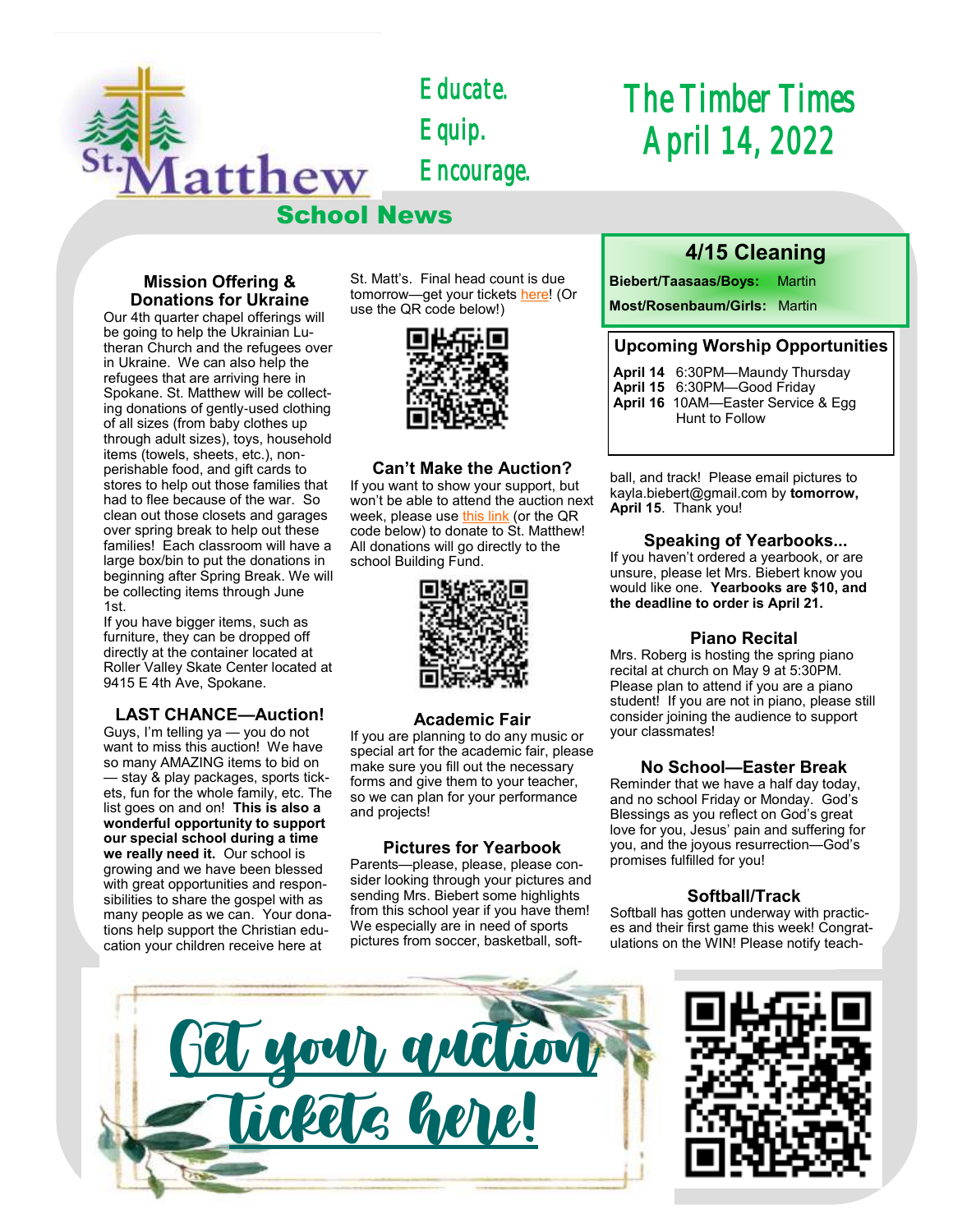

*Educate. Equip. Encourage.* 

# *The Timber Times April 14, 2022*

#### **Mission Offering & Donations for Ukraine**

Our 4th quarter chapel offerings will be going to help the Ukrainian Lutheran Church and the refugees over in Ukraine. We can also help the refugees that are arriving here in Spokane. St. Matthew will be collecting donations of gently-used clothing of all sizes (from baby clothes up through adult sizes), toys, household items (towels, sheets, etc.), nonperishable food, and gift cards to stores to help out those families that had to flee because of the war. So clean out those closets and garages over spring break to help out these families! Each classroom will have a large box/bin to put the donations in beginning after Spring Break. We will be collecting items through June 1st.

If you have bigger items, such as furniture, they can be dropped off directly at the container located at Roller Valley Skate Center located at 9415 E 4th Ave, Spokane.

#### **LAST CHANCE—Auction!**

Guys, I'm telling ya — you do not want to miss this auction! We have so many AMAZING items to bid on — stay & play packages, sports tickets, fun for the whole family, etc. The list goes on and on! **This is also a wonderful opportunity to support our special school during a time we really need it.** Our school is growing and we have been blessed with great opportunities and responsibilities to share the gospel with as many people as we can. Your donations help support the Christian education your children receive here at

St. Matt's. Final head count is due tomorrow—get your tickets [here!](https://school.stmatthewspokane.org/auction-2022.html) (Or use the QR code below!)



#### **Can't Make the Auction?**

If you want to show your support, but won't be able to attend the auction next week, please use [this link](https://checkout.square.site/merchant/ML2C9004D14HE/checkout/7JEUGYMEXWCNVI5RVGGEPJDJ) (or the QR code below) to donate to St. Matthew! All donations will go directly to the school Building Fund.



#### **Academic Fair**

If you are planning to do any music or special art for the academic fair, please make sure you fill out the necessary forms and give them to your teacher, so we can plan for your performance and projects!

#### **Pictures for Yearbook**

Parents—please, please, please consider looking through your pictures and sending Mrs. Biebert some highlights from this school year if you have them! We especially are in need of sports pictures from soccer, basketball, soft-

### **4/15 Cleaning**

**Biebert/Taasaas/Boys:** Martin

**Most/Rosenbaum/Girls:** Martin

#### **Upcoming Worship Opportunities**

- **April 14** 6:30PM—Maundy Thursday **April 15** 6:30PM—Good Friday **April 16** 10AM—Easter Service & Egg
	- Hunt to Follow

ball, and track! Please email pictures to kayla.biebert@gmail.com by **tomorrow, April 15**. Thank you!

#### **Speaking of Yearbooks...**

If you haven't ordered a yearbook, or are unsure, please let Mrs. Biebert know you would like one. **Yearbooks are \$10, and the deadline to order is April 21.** 

#### **Piano Recital**

Mrs. Roberg is hosting the spring piano recital at church on May 9 at 5:30PM. Please plan to attend if you are a piano student! If you are not in piano, please still consider joining the audience to support your classmates!

#### **No School—Easter Break**

Reminder that we have a half day today, and no school Friday or Monday. God's Blessings as you reflect on God's great love for you, Jesus' pain and suffering for you, and the joyous resurrection—God's promises fulfilled for you!

#### **Softball/Track**

Softball has gotten underway with practices and their first game this week! Congratulations on the WIN! Please notify teach-



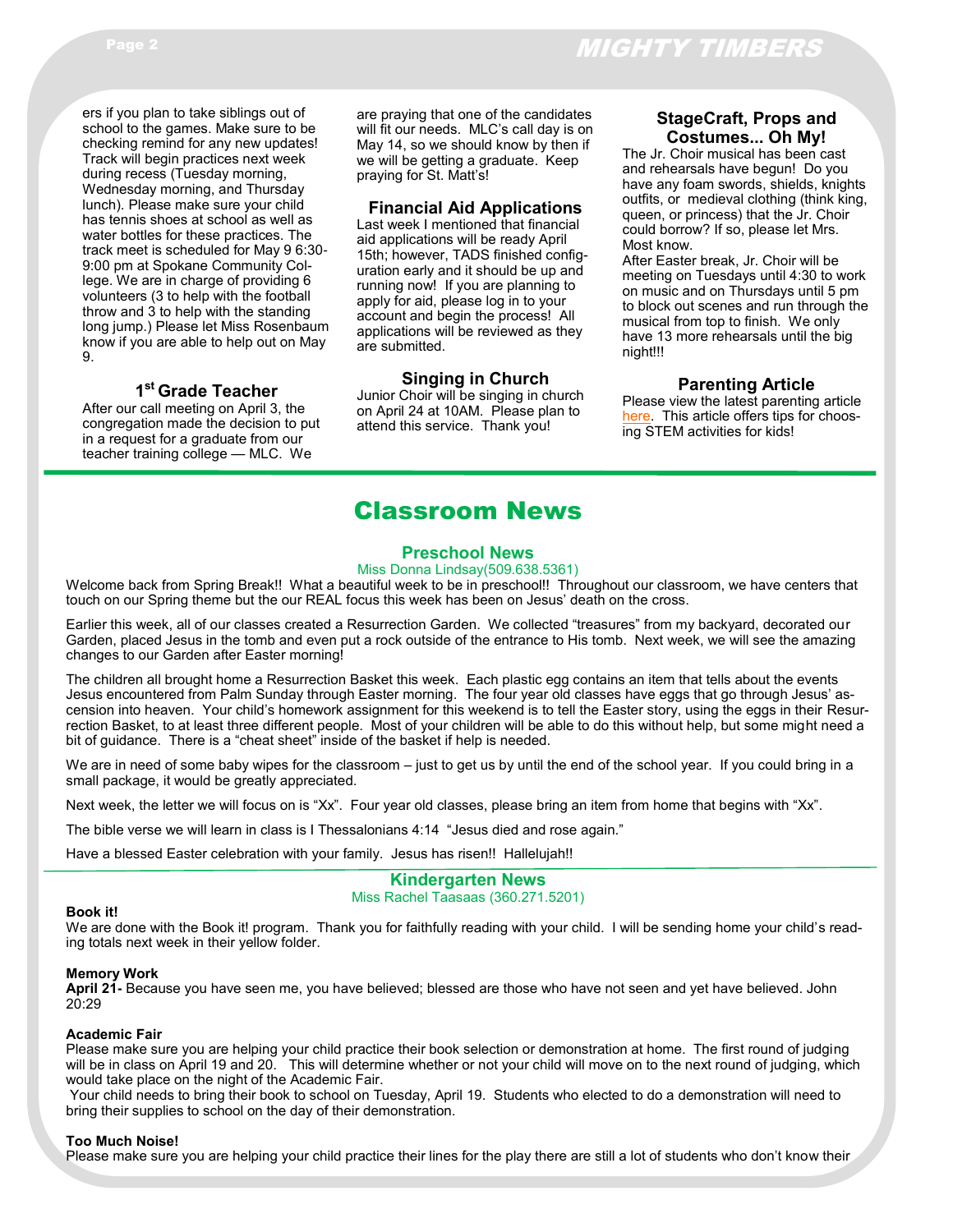ers if you plan to take siblings out of school to the games. Make sure to be checking remind for any new updates! Track will begin practices next week during recess (Tuesday morning, Wednesday morning, and Thursday lunch). Please make sure your child has tennis shoes at school as well as water bottles for these practices. The track meet is scheduled for May 9 6:30- 9:00 pm at Spokane Community College. We are in charge of providing 6 volunteers (3 to help with the football throw and 3 to help with the standing long jump.) Please let Miss Rosenbaum know if you are able to help out on May 9.

#### **1 st Grade Teacher**

After our call meeting on April 3, the congregation made the decision to put in a request for a graduate from our teacher training college — MLC. We

are praying that one of the candidates will fit our needs. MLC's call day is on May 14, so we should know by then if we will be getting a graduate. Keep praying for St. Matt's!

#### **Financial Aid Applications**

Last week I mentioned that financial aid applications will be ready April 15th; however, TADS finished configuration early and it should be up and running now! If you are planning to apply for aid, please log in to your account and begin the process! All applications will be reviewed as they are submitted.

#### **Singing in Church**

Junior Choir will be singing in church on April 24 at 10AM. Please plan to attend this service. Thank you!

#### **StageCraft, Props and Costumes... Oh My!**

The Jr. Choir musical has been cast and rehearsals have begun! Do you have any foam swords, shields, knights outfits, or medieval clothing (think king, queen, or princess) that the Jr. Choir could borrow? If so, please let Mrs. Most know.

After Easter break, Jr. Choir will be meeting on Tuesdays until 4:30 to work on music and on Thursdays until 5 pm to block out scenes and run through the musical from top to finish. We only have 13 more rehearsals until the big night!!!

#### **Parenting Article**

Please view the latest parenting article [here.](https://www.naeyc.org/resources/pubs/tyc/winter2021/message-backpack-stem) This article offers tips for choosing STEM activities for kids!

## Classroom News

#### **Preschool News**

#### Miss Donna Lindsay(509.638.5361)

Welcome back from Spring Break!! What a beautiful week to be in preschool!! Throughout our classroom, we have centers that touch on our Spring theme but the our REAL focus this week has been on Jesus' death on the cross.

Earlier this week, all of our classes created a Resurrection Garden. We collected "treasures" from my backyard, decorated our Garden, placed Jesus in the tomb and even put a rock outside of the entrance to His tomb. Next week, we will see the amazing changes to our Garden after Easter morning!

The children all brought home a Resurrection Basket this week. Each plastic egg contains an item that tells about the events Jesus encountered from Palm Sunday through Easter morning. The four year old classes have eggs that go through Jesus' ascension into heaven. Your child's homework assignment for this weekend is to tell the Easter story, using the eggs in their Resurrection Basket, to at least three different people. Most of your children will be able to do this without help, but some might need a bit of guidance. There is a "cheat sheet" inside of the basket if help is needed.

We are in need of some baby wipes for the classroom – just to get us by until the end of the school year. If you could bring in a small package, it would be greatly appreciated.

Next week, the letter we will focus on is "Xx". Four year old classes, please bring an item from home that begins with "Xx".

The bible verse we will learn in class is I Thessalonians 4:14 "Jesus died and rose again."

Have a blessed Easter celebration with your family. Jesus has risen!! Hallelujah!!

#### **Kindergarten News** Miss Rachel Taasaas (360.271.5201)

#### **Book it!**

We are done with the Book it! program. Thank you for faithfully reading with your child. I will be sending home your child's reading totals next week in their yellow folder.

#### **Memory Work**

**April 21-** Because you have seen me, you have believed; blessed are those who have not seen and yet have believed. John 20:29

#### **Academic Fair**

Please make sure you are helping your child practice their book selection or demonstration at home. The first round of judging will be in class on April 19 and 20. This will determine whether or not your child will move on to the next round of judging, which would take place on the night of the Academic Fair.

Your child needs to bring their book to school on Tuesday, April 19. Students who elected to do a demonstration will need to bring their supplies to school on the day of their demonstration.

#### **Too Much Noise!**

Please make sure you are helping your child practice their lines for the play there are still a lot of students who don't know their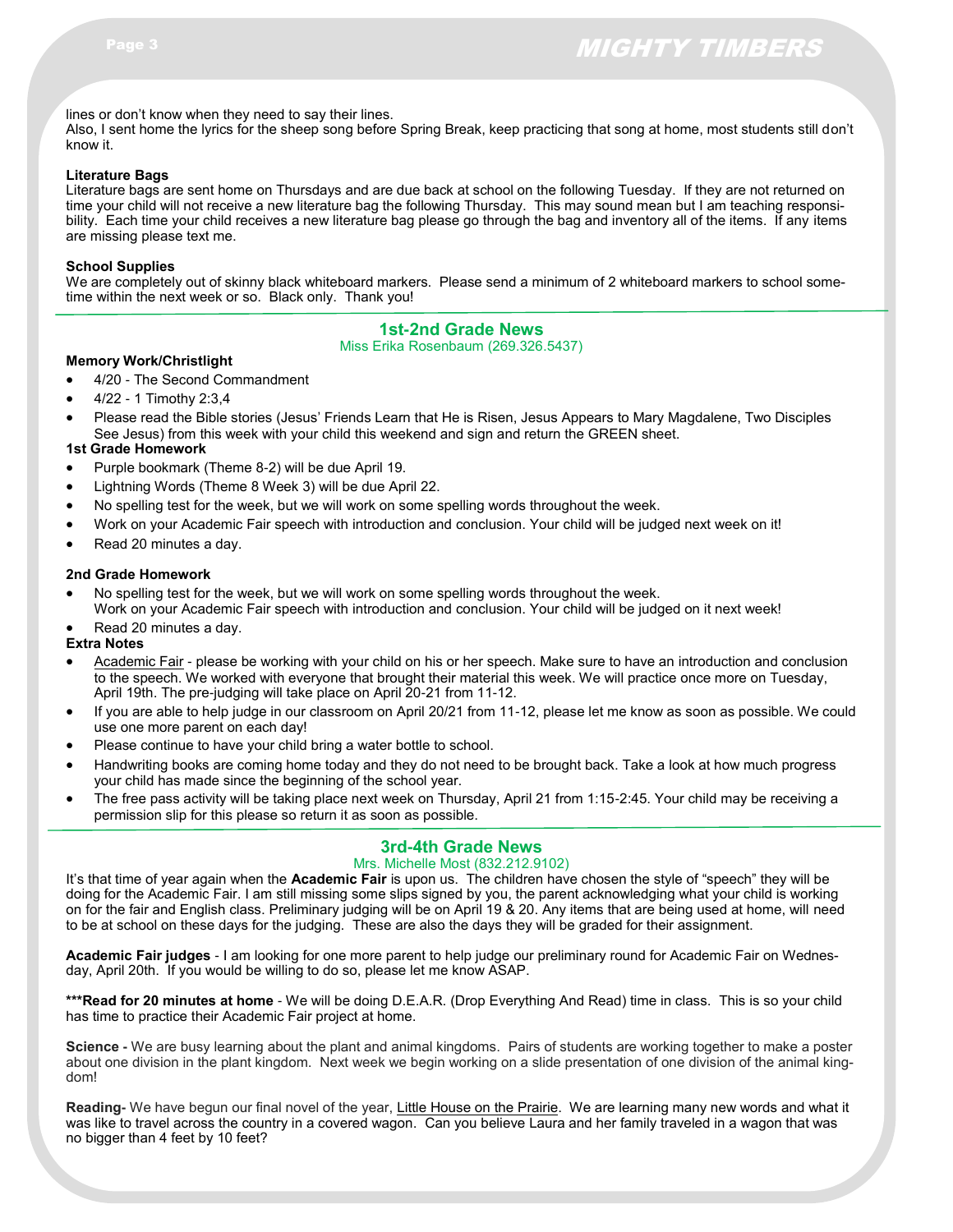lines or don't know when they need to say their lines.

Also, I sent home the lyrics for the sheep song before Spring Break, keep practicing that song at home, most students still don't know it.

#### **Literature Bags**

Literature bags are sent home on Thursdays and are due back at school on the following Tuesday. If they are not returned on time your child will not receive a new literature bag the following Thursday. This may sound mean but I am teaching responsibility. Each time your child receives a new literature bag please go through the bag and inventory all of the items. If any items are missing please text me.

#### **School Supplies**

We are completely out of skinny black whiteboard markers. Please send a minimum of 2 whiteboard markers to school sometime within the next week or so. Black only. Thank you!

#### **1st-2nd Grade News**

Miss Erika Rosenbaum (269.326.5437)

- **Memory Work/Christlight** 4/20 - The Second Commandment
- 4/22 1 Timothy 2:3,4
- Please read the Bible stories (Jesus' Friends Learn that He is Risen, Jesus Appears to Mary Magdalene, Two Disciples See Jesus) from this week with your child this weekend and sign and return the GREEN sheet.

#### **1st Grade Homework**

- Purple bookmark (Theme 8-2) will be due April 19.
- Lightning Words (Theme 8 Week 3) will be due April 22.
- No spelling test for the week, but we will work on some spelling words throughout the week.
- Work on your Academic Fair speech with introduction and conclusion. Your child will be judged next week on it!
- Read 20 minutes a day.

#### **2nd Grade Homework**

- No spelling test for the week, but we will work on some spelling words throughout the week.
- Work on your Academic Fair speech with introduction and conclusion. Your child will be judged on it next week!
- Read 20 minutes a day.

#### **Extra Notes**

- Academic Fair please be working with your child on his or her speech. Make sure to have an introduction and conclusion to the speech. We worked with everyone that brought their material this week. We will practice once more on Tuesday, April 19th. The pre-judging will take place on April 20-21 from 11-12.
- If you are able to help judge in our classroom on April 20/21 from 11-12, please let me know as soon as possible. We could use one more parent on each day!
- Please continue to have your child bring a water bottle to school.
- Handwriting books are coming home today and they do not need to be brought back. Take a look at how much progress your child has made since the beginning of the school year.
- The free pass activity will be taking place next week on Thursday, April 21 from 1:15-2:45. Your child may be receiving a permission slip for this please so return it as soon as possible.

## **3rd-4th Grade News**

#### Mrs. Michelle Most (832.212.9102)

It's that time of year again when the **Academic Fair** is upon us. The children have chosen the style of "speech" they will be doing for the Academic Fair. I am still missing some slips signed by you, the parent acknowledging what your child is working on for the fair and English class. Preliminary judging will be on April 19 & 20. Any items that are being used at home, will need to be at school on these days for the judging. These are also the days they will be graded for their assignment.

**Academic Fair judges** - I am looking for one more parent to help judge our preliminary round for Academic Fair on Wednesday, April 20th. If you would be willing to do so, please let me know ASAP.

**\*\*\*Read for 20 minutes at home** - We will be doing D.E.A.R. (Drop Everything And Read) time in class. This is so your child has time to practice their Academic Fair project at home.

**Science -** We are busy learning about the plant and animal kingdoms. Pairs of students are working together to make a poster about one division in the plant kingdom. Next week we begin working on a slide presentation of one division of the animal kingdom!

**Reading-** We have begun our final novel of the year, Little House on the Prairie. We are learning many new words and what it was like to travel across the country in a covered wagon. Can you believe Laura and her family traveled in a wagon that was no bigger than 4 feet by 10 feet?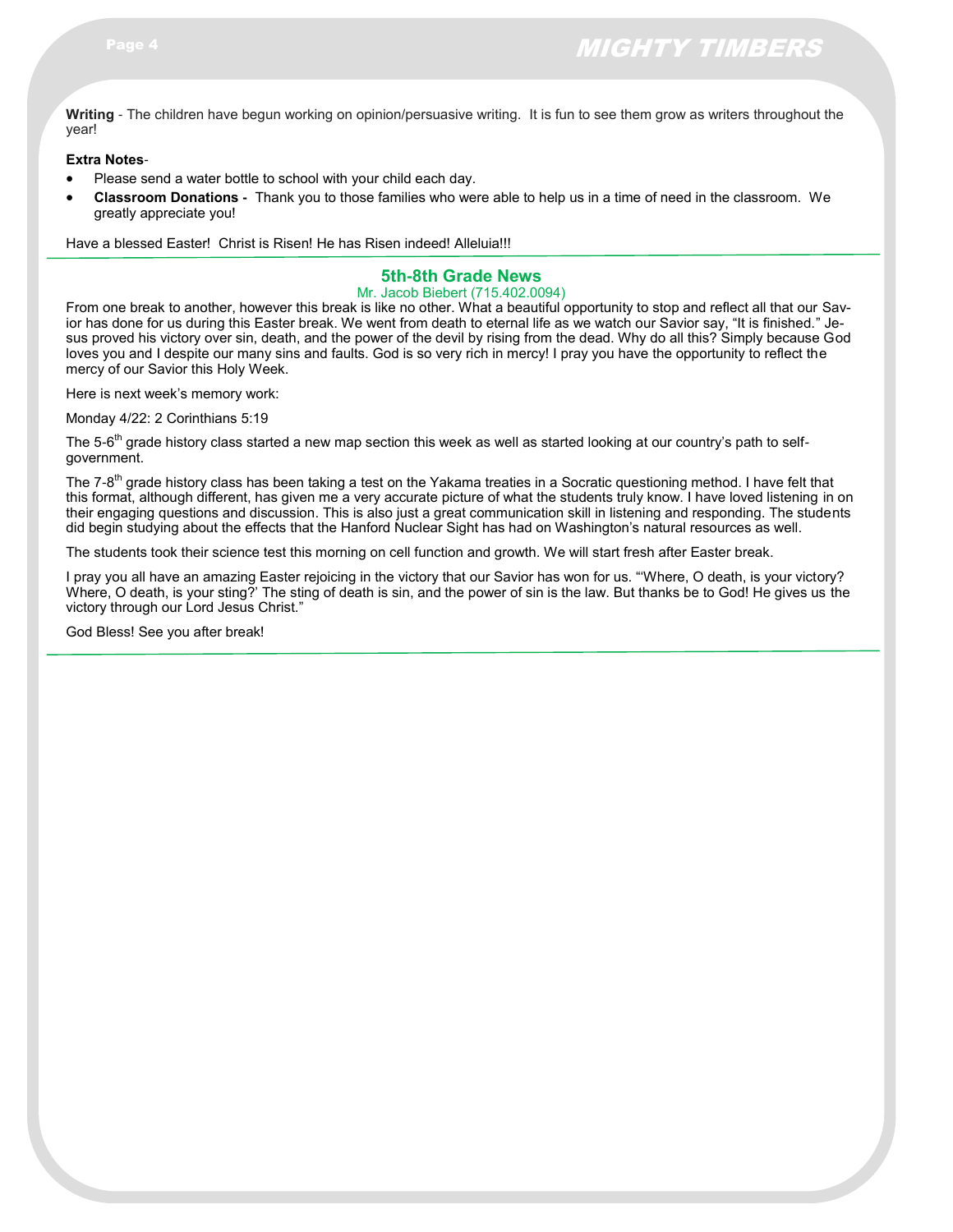**Writing** - The children have begun working on opinion/persuasive writing. It is fun to see them grow as writers throughout the year!

#### **Extra Notes**-

- Please send a water bottle to school with your child each day.
- **Classroom Donations -** Thank you to those families who were able to help us in a time of need in the classroom. We greatly appreciate you!

Have a blessed Easter! Christ is Risen! He has Risen indeed! Alleluia!!!

#### **5th-8th Grade News**

#### Mr. Jacob Biebert (715.402.0094)

From one break to another, however this break is like no other. What a beautiful opportunity to stop and reflect all that our Savior has done for us during this Easter break. We went from death to eternal life as we watch our Savior say, "It is finished." Jesus proved his victory over sin, death, and the power of the devil by rising from the dead. Why do all this? Simply because God loves you and I despite our many sins and faults. God is so very rich in mercy! I pray you have the opportunity to reflect the mercy of our Savior this Holy Week.

Here is next week's memory work:

Monday 4/22: 2 Corinthians 5:19

The 5-6<sup>th</sup> grade history class started a new map section this week as well as started looking at our country's path to selfgovernment.

The 7-8<sup>th</sup> grade history class has been taking a test on the Yakama treaties in a Socratic questioning method. I have felt that this format, although different, has given me a very accurate picture of what the students truly know. I have loved listening in on their engaging questions and discussion. This is also just a great communication skill in listening and responding. The students did begin studying about the effects that the Hanford Nuclear Sight has had on Washington's natural resources as well.

The students took their science test this morning on cell function and growth. We will start fresh after Easter break.

I pray you all have an amazing Easter rejoicing in the victory that our Savior has won for us. "'Where, O death, is your victory? Where, O death, is your sting?' The sting of death is sin, and the power of sin is the law. But thanks be to God! He gives us the victory through our Lord Jesus Christ."

God Bless! See you after break!